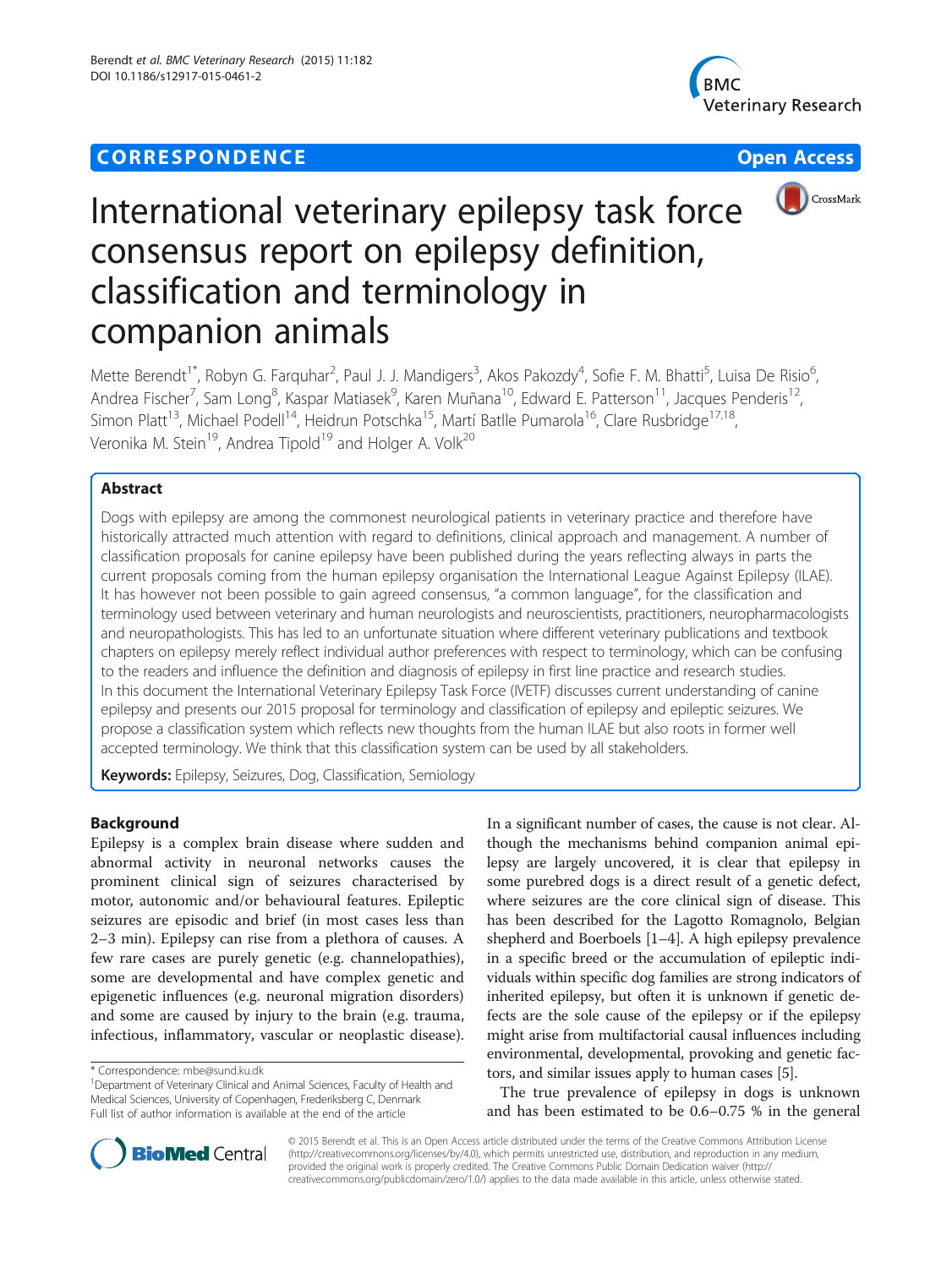# **CORRESPONDENCE CORRESPONDENCE** *CORRESPONDENCE*





# International veterinary epilepsy task force consensus report on epilepsy definition, classification and terminology in companion animals

Mette Berendt<sup>1\*</sup>, Robyn G. Farquhar<sup>2</sup>, Paul J. J. Mandigers<sup>3</sup>, Akos Pakozdy<sup>4</sup>, Sofie F. M. Bhatti<sup>5</sup>, Luisa De Risio<sup>6</sup> י<br>, Andrea Fischer<sup>7</sup>, Sam Long<sup>8</sup>, Kaspar Matiasek<sup>9</sup>, Karen Muñana<sup>10</sup>, Edward E. Patterson<sup>11</sup>, Jacques Penderis<sup>12</sup>, Simon Platt<sup>13</sup>, Michael Podell<sup>14</sup>, Heidrun Potschka<sup>15</sup>, Martí Batlle Pumarola<sup>16</sup>, Clare Rusbridge<sup>17,18</sup>, Veronika M. Stein<sup>19</sup>, Andrea Tipold<sup>19</sup> and Holger A. Volk<sup>20</sup>

# Abstract

Dogs with epilepsy are among the commonest neurological patients in veterinary practice and therefore have historically attracted much attention with regard to definitions, clinical approach and management. A number of classification proposals for canine epilepsy have been published during the years reflecting always in parts the current proposals coming from the human epilepsy organisation the International League Against Epilepsy (ILAE). It has however not been possible to gain agreed consensus, "a common language", for the classification and terminology used between veterinary and human neurologists and neuroscientists, practitioners, neuropharmacologists and neuropathologists. This has led to an unfortunate situation where different veterinary publications and textbook chapters on epilepsy merely reflect individual author preferences with respect to terminology, which can be confusing to the readers and influence the definition and diagnosis of epilepsy in first line practice and research studies. In this document the International Veterinary Epilepsy Task Force (IVETF) discusses current understanding of canine epilepsy and presents our 2015 proposal for terminology and classification of epilepsy and epileptic seizures. We propose a classification system which reflects new thoughts from the human ILAE but also roots in former well accepted terminology. We think that this classification system can be used by all stakeholders.

Keywords: Epilepsy, Seizures, Dog, Classification, Semiology

# Background

Epilepsy is a complex brain disease where sudden and abnormal activity in neuronal networks causes the prominent clinical sign of seizures characterised by motor, autonomic and/or behavioural features. Epileptic seizures are episodic and brief (in most cases less than 2–3 min). Epilepsy can rise from a plethora of causes. A few rare cases are purely genetic (e.g. channelopathies), some are developmental and have complex genetic and epigenetic influences (e.g. neuronal migration disorders) and some are caused by injury to the brain (e.g. trauma, infectious, inflammatory, vascular or neoplastic disease).

In a significant number of cases, the cause is not clear. Although the mechanisms behind companion animal epilepsy are largely uncovered, it is clear that epilepsy in some purebred dogs is a direct result of a genetic defect, where seizures are the core clinical sign of disease. This has been described for the Lagotto Romagnolo, Belgian shepherd and Boerboels [\[1](#page-9-0)–[4\]](#page-9-0). A high epilepsy prevalence in a specific breed or the accumulation of epileptic individuals within specific dog families are strong indicators of inherited epilepsy, but often it is unknown if genetic defects are the sole cause of the epilepsy or if the epilepsy might arise from multifactorial causal influences including environmental, developmental, provoking and genetic factors, and similar issues apply to human cases [\[5\]](#page-9-0).

The true prevalence of epilepsy in dogs is unknown and has been estimated to be 0.6–0.75 % in the general



© 2015 Berendt et al. This is an Open Access article distributed under the terms of the Creative Commons Attribution License [\(http://creativecommons.org/licenses/by/4.0\)](http://creativecommons.org/licenses/by/4.0), which permits unrestricted use, distribution, and reproduction in any medium, provided the original work is properly credited. The Creative Commons Public Domain Dedication waiver [\(http://](http://creativecommons.org/publicdomain/zero/1.0/) [creativecommons.org/publicdomain/zero/1.0/\)](http://creativecommons.org/publicdomain/zero/1.0/) applies to the data made available in this article, unless otherwise stated.

<sup>\*</sup> Correspondence: [mbe@sund.ku.dk](mailto:mbe@sund.ku.dk) <sup>1</sup>

<sup>&</sup>lt;sup>1</sup>Department of Veterinary Clinical and Animal Sciences, Faculty of Health and Medical Sciences, University of Copenhagen, Frederiksberg C, Denmark Full list of author information is available at the end of the article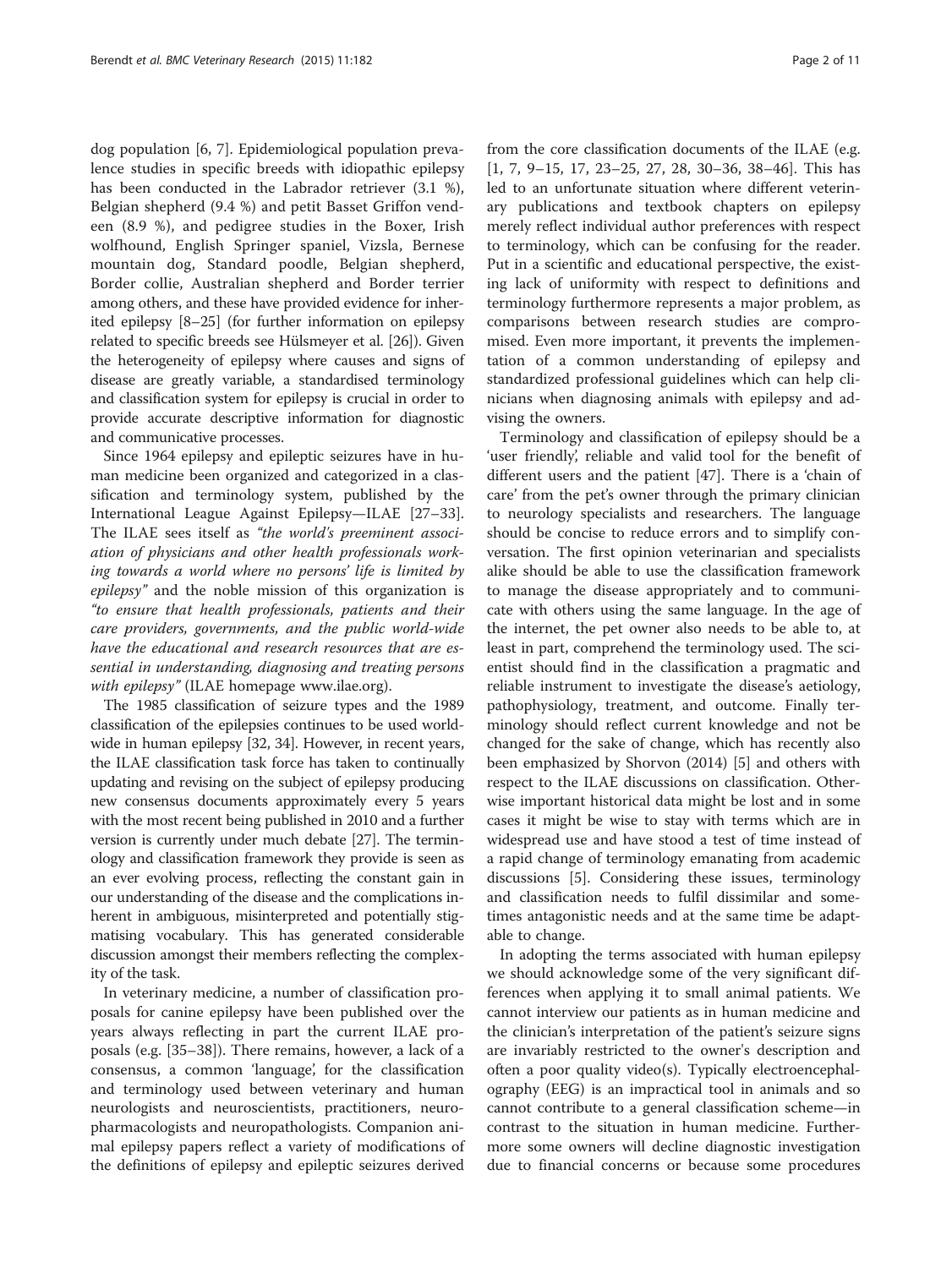dog population [\[6](#page-9-0), [7\]](#page-9-0). Epidemiological population prevalence studies in specific breeds with idiopathic epilepsy has been conducted in the Labrador retriever (3.1 %), Belgian shepherd (9.4 %) and petit Basset Griffon vendeen (8.9 %), and pedigree studies in the Boxer, Irish wolfhound, English Springer spaniel, Vizsla, Bernese mountain dog, Standard poodle, Belgian shepherd, Border collie, Australian shepherd and Border terrier among others, and these have provided evidence for inherited epilepsy [[8](#page-9-0)–[25](#page-10-0)] (for further information on epilepsy related to specific breeds see Hülsmeyer et al. [\[26\]](#page-10-0)). Given the heterogeneity of epilepsy where causes and signs of disease are greatly variable, a standardised terminology and classification system for epilepsy is crucial in order to provide accurate descriptive information for diagnostic and communicative processes.

Since 1964 epilepsy and epileptic seizures have in human medicine been organized and categorized in a classification and terminology system, published by the International League Against Epilepsy—ILAE [[27](#page-10-0)–[33](#page-10-0)]. The ILAE sees itself as "the world's preeminent association of physicians and other health professionals working towards a world where no persons' life is limited by epilepsy" and the noble mission of this organization is "to ensure that health professionals, patients and their care providers, governments, and the public world-wide have the educational and research resources that are essential in understanding, diagnosing and treating persons with epilepsy" (ILAE homepage [www.ilae.org](http://www.ilae.org)).

The 1985 classification of seizure types and the 1989 classification of the epilepsies continues to be used worldwide in human epilepsy [\[32](#page-10-0), [34\]](#page-10-0). However, in recent years, the ILAE classification task force has taken to continually updating and revising on the subject of epilepsy producing new consensus documents approximately every 5 years with the most recent being published in 2010 and a further version is currently under much debate [\[27\]](#page-10-0). The terminology and classification framework they provide is seen as an ever evolving process, reflecting the constant gain in our understanding of the disease and the complications inherent in ambiguous, misinterpreted and potentially stigmatising vocabulary. This has generated considerable discussion amongst their members reflecting the complexity of the task.

In veterinary medicine, a number of classification proposals for canine epilepsy have been published over the years always reflecting in part the current ILAE proposals (e.g. [\[35](#page-10-0)–[38\]](#page-10-0)). There remains, however, a lack of a consensus, a common 'language', for the classification and terminology used between veterinary and human neurologists and neuroscientists, practitioners, neuropharmacologists and neuropathologists. Companion animal epilepsy papers reflect a variety of modifications of the definitions of epilepsy and epileptic seizures derived

from the core classification documents of the ILAE (e.g. [[1, 7, 9](#page-9-0)–[15,](#page-9-0) [17, 23](#page-10-0)–[25](#page-10-0), [27](#page-10-0), [28](#page-10-0), [30](#page-10-0)–[36, 38](#page-10-0)–[46\]](#page-10-0). This has led to an unfortunate situation where different veterinary publications and textbook chapters on epilepsy merely reflect individual author preferences with respect to terminology, which can be confusing for the reader. Put in a scientific and educational perspective, the existing lack of uniformity with respect to definitions and terminology furthermore represents a major problem, as comparisons between research studies are compromised. Even more important, it prevents the implementation of a common understanding of epilepsy and standardized professional guidelines which can help clinicians when diagnosing animals with epilepsy and advising the owners.

Terminology and classification of epilepsy should be a 'user friendly', reliable and valid tool for the benefit of different users and the patient [\[47](#page-10-0)]. There is a 'chain of care' from the pet's owner through the primary clinician to neurology specialists and researchers. The language should be concise to reduce errors and to simplify conversation. The first opinion veterinarian and specialists alike should be able to use the classification framework to manage the disease appropriately and to communicate with others using the same language. In the age of the internet, the pet owner also needs to be able to, at least in part, comprehend the terminology used. The scientist should find in the classification a pragmatic and reliable instrument to investigate the disease's aetiology, pathophysiology, treatment, and outcome. Finally terminology should reflect current knowledge and not be changed for the sake of change, which has recently also been emphasized by Shorvon (2014) [[5\]](#page-9-0) and others with respect to the ILAE discussions on classification. Otherwise important historical data might be lost and in some cases it might be wise to stay with terms which are in widespread use and have stood a test of time instead of a rapid change of terminology emanating from academic discussions [\[5](#page-9-0)]. Considering these issues, terminology and classification needs to fulfil dissimilar and sometimes antagonistic needs and at the same time be adaptable to change.

In adopting the terms associated with human epilepsy we should acknowledge some of the very significant differences when applying it to small animal patients. We cannot interview our patients as in human medicine and the clinician's interpretation of the patient's seizure signs are invariably restricted to the owner's description and often a poor quality video(s). Typically electroencephalography (EEG) is an impractical tool in animals and so cannot contribute to a general classification scheme—in contrast to the situation in human medicine. Furthermore some owners will decline diagnostic investigation due to financial concerns or because some procedures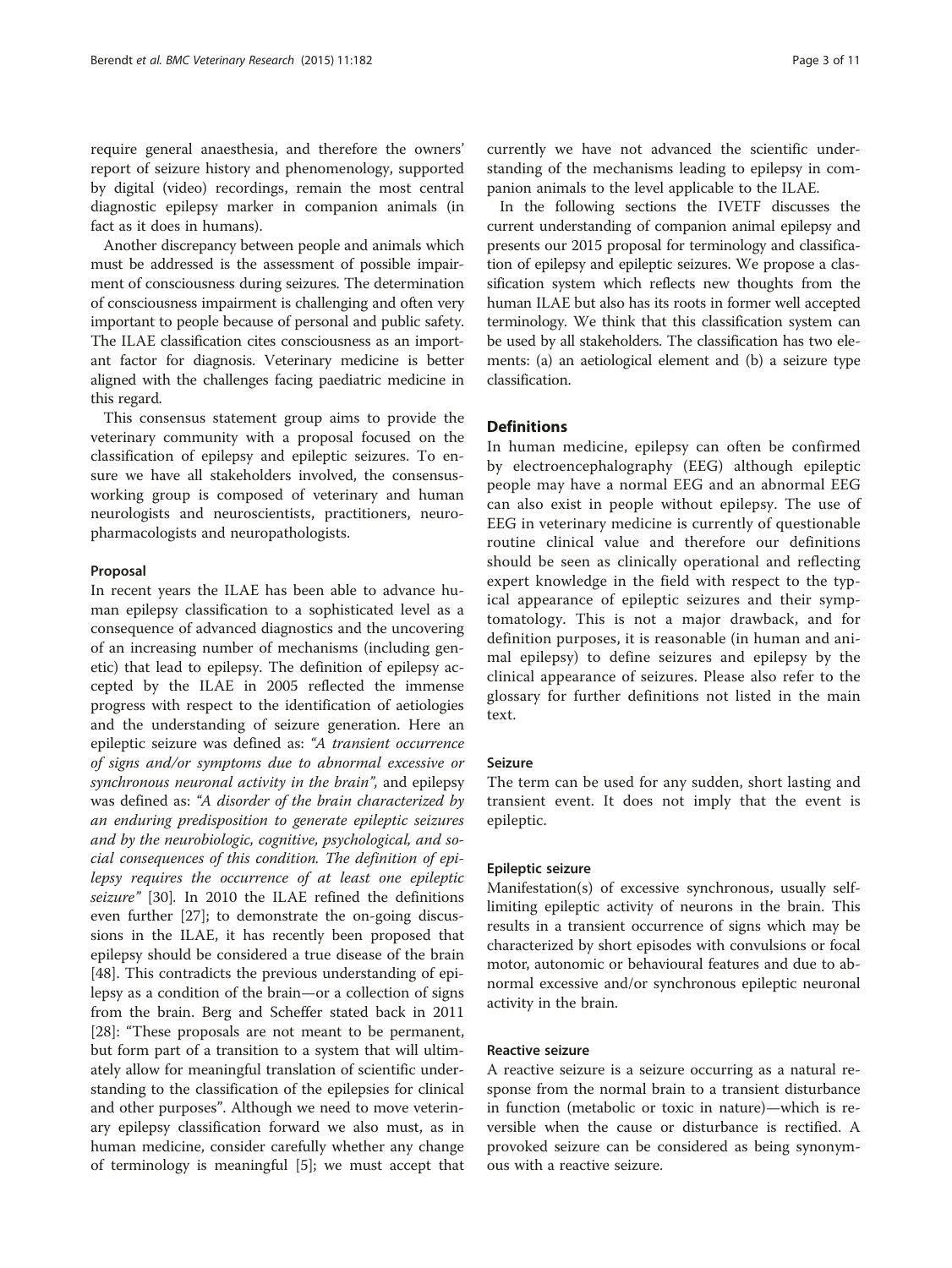require general anaesthesia, and therefore the owners' report of seizure history and phenomenology, supported by digital (video) recordings, remain the most central diagnostic epilepsy marker in companion animals (in fact as it does in humans).

Another discrepancy between people and animals which must be addressed is the assessment of possible impairment of consciousness during seizures. The determination of consciousness impairment is challenging and often very important to people because of personal and public safety. The ILAE classification cites consciousness as an important factor for diagnosis. Veterinary medicine is better aligned with the challenges facing paediatric medicine in this regard.

This consensus statement group aims to provide the veterinary community with a proposal focused on the classification of epilepsy and epileptic seizures. To ensure we have all stakeholders involved, the consensusworking group is composed of veterinary and human neurologists and neuroscientists, practitioners, neuropharmacologists and neuropathologists.

#### Proposal

In recent years the ILAE has been able to advance human epilepsy classification to a sophisticated level as a consequence of advanced diagnostics and the uncovering of an increasing number of mechanisms (including genetic) that lead to epilepsy. The definition of epilepsy accepted by the ILAE in 2005 reflected the immense progress with respect to the identification of aetiologies and the understanding of seizure generation. Here an epileptic seizure was defined as: "A transient occurrence of signs and/or symptoms due to abnormal excessive or synchronous neuronal activity in the brain", and epilepsy was defined as: "A disorder of the brain characterized by an enduring predisposition to generate epileptic seizures and by the neurobiologic, cognitive, psychological, and social consequences of this condition. The definition of epilepsy requires the occurrence of at least one epileptic seizure" [[30](#page-10-0)]. In 2010 the ILAE refined the definitions even further [[27\]](#page-10-0); to demonstrate the on-going discussions in the ILAE, it has recently been proposed that epilepsy should be considered a true disease of the brain [[48\]](#page-10-0). This contradicts the previous understanding of epilepsy as a condition of the brain—or a collection of signs from the brain. Berg and Scheffer stated back in 2011 [[28\]](#page-10-0): "These proposals are not meant to be permanent, but form part of a transition to a system that will ultimately allow for meaningful translation of scientific understanding to the classification of the epilepsies for clinical and other purposes". Although we need to move veterinary epilepsy classification forward we also must, as in human medicine, consider carefully whether any change of terminology is meaningful [[5\]](#page-9-0); we must accept that currently we have not advanced the scientific understanding of the mechanisms leading to epilepsy in companion animals to the level applicable to the ILAE.

In the following sections the IVETF discusses the current understanding of companion animal epilepsy and presents our 2015 proposal for terminology and classification of epilepsy and epileptic seizures. We propose a classification system which reflects new thoughts from the human ILAE but also has its roots in former well accepted terminology. We think that this classification system can be used by all stakeholders. The classification has two elements: (a) an aetiological element and (b) a seizure type classification.

### **Definitions**

In human medicine, epilepsy can often be confirmed by electroencephalography (EEG) although epileptic people may have a normal EEG and an abnormal EEG can also exist in people without epilepsy. The use of EEG in veterinary medicine is currently of questionable routine clinical value and therefore our definitions should be seen as clinically operational and reflecting expert knowledge in the field with respect to the typical appearance of epileptic seizures and their symptomatology. This is not a major drawback, and for definition purposes, it is reasonable (in human and animal epilepsy) to define seizures and epilepsy by the clinical appearance of seizures. Please also refer to the glossary for further definitions not listed in the main text.

#### Seizure

The term can be used for any sudden, short lasting and transient event. It does not imply that the event is epileptic.

#### Epileptic seizure

Manifestation(s) of excessive synchronous, usually selflimiting epileptic activity of neurons in the brain. This results in a transient occurrence of signs which may be characterized by short episodes with convulsions or focal motor, autonomic or behavioural features and due to abnormal excessive and/or synchronous epileptic neuronal activity in the brain.

#### Reactive seizure

A reactive seizure is a seizure occurring as a natural response from the normal brain to a transient disturbance in function (metabolic or toxic in nature)—which is reversible when the cause or disturbance is rectified. A provoked seizure can be considered as being synonymous with a reactive seizure.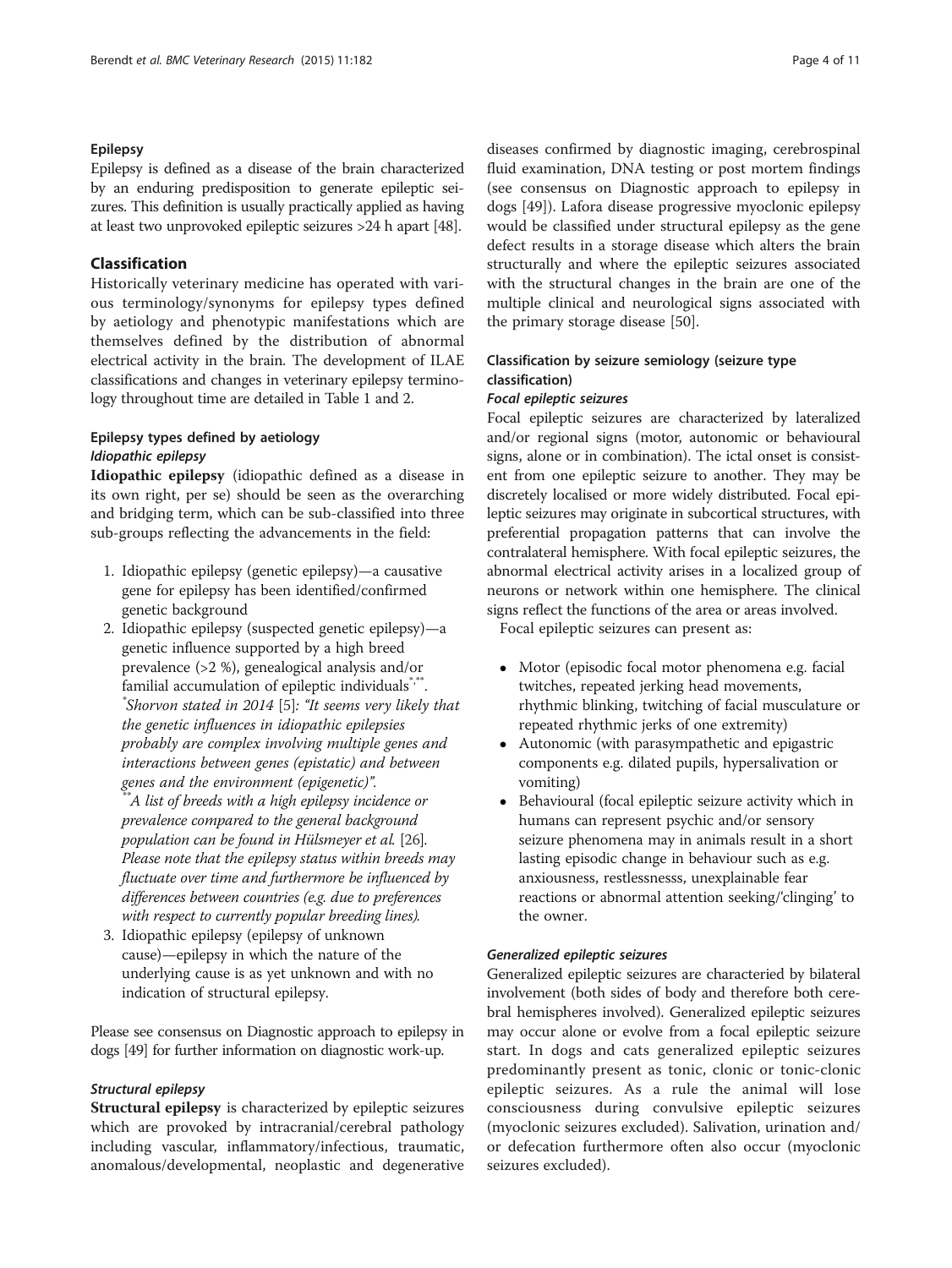#### Epilepsy

Epilepsy is defined as a disease of the brain characterized by an enduring predisposition to generate epileptic seizures. This definition is usually practically applied as having at least two unprovoked epileptic seizures >24 h apart [\[48\]](#page-10-0).

## Classification

Historically veterinary medicine has operated with various terminology/synonyms for epilepsy types defined by aetiology and phenotypic manifestations which are themselves defined by the distribution of abnormal electrical activity in the brain. The development of ILAE classifications and changes in veterinary epilepsy terminology throughout time are detailed in Table [1](#page-4-0) and [2](#page-5-0).

# Epilepsy types defined by aetiology Idiopathic epilepsy

Idiopathic epilepsy (idiopathic defined as a disease in its own right, per se) should be seen as the overarching and bridging term, which can be sub-classified into three sub-groups reflecting the advancements in the field:

- 1. Idiopathic epilepsy (genetic epilepsy)—a causative gene for epilepsy has been identified/confirmed genetic background
- 2. Idiopathic epilepsy (suspected genetic epilepsy)—a genetic influence supported by a high breed prevalence (>2 %), genealogical analysis and/or familial accumulation of epileptic individuals\*,\*\*\*. Shorvon stated in 2014 [\[5](#page-9-0)]: "It seems very likely that the genetic influences in idiopathic epilepsies probably are complex involving multiple genes and interactions between genes (epistatic) and between genes and the environment (epigenetic)".<br>\*\*A list of breeds with a high epilepsy incidence or

prevalence compared to the general background population can be found in Hülsmeyer et al. [\[26\]](#page-10-0). Please note that the epilepsy status within breeds may fluctuate over time and furthermore be influenced by differences between countries (e.g. due to preferences with respect to currently popular breeding lines).

3. Idiopathic epilepsy (epilepsy of unknown cause)—epilepsy in which the nature of the underlying cause is as yet unknown and with no indication of structural epilepsy.

Please see consensus on Diagnostic approach to epilepsy in dogs [\[49\]](#page-10-0) for further information on diagnostic work-up.

#### Structural epilepsy

Structural epilepsy is characterized by epileptic seizures which are provoked by intracranial/cerebral pathology including vascular, inflammatory/infectious, traumatic, anomalous/developmental, neoplastic and degenerative diseases confirmed by diagnostic imaging, cerebrospinal fluid examination, DNA testing or post mortem findings (see consensus on Diagnostic approach to epilepsy in dogs [[49\]](#page-10-0)). Lafora disease progressive myoclonic epilepsy would be classified under structural epilepsy as the gene defect results in a storage disease which alters the brain structurally and where the epileptic seizures associated with the structural changes in the brain are one of the multiple clinical and neurological signs associated with the primary storage disease [[50](#page-10-0)].

# Classification by seizure semiology (seizure type classification)

## Focal epileptic seizures

Focal epileptic seizures are characterized by lateralized and/or regional signs (motor, autonomic or behavioural signs, alone or in combination). The ictal onset is consistent from one epileptic seizure to another. They may be discretely localised or more widely distributed. Focal epileptic seizures may originate in subcortical structures, with preferential propagation patterns that can involve the contralateral hemisphere. With focal epileptic seizures, the abnormal electrical activity arises in a localized group of neurons or network within one hemisphere. The clinical signs reflect the functions of the area or areas involved.

Focal epileptic seizures can present as:

- Motor (episodic focal motor phenomena e.g. facial twitches, repeated jerking head movements, rhythmic blinking, twitching of facial musculature or repeated rhythmic jerks of one extremity)
- Autonomic (with parasympathetic and epigastric components e.g. dilated pupils, hypersalivation or vomiting)
- Behavioural (focal epileptic seizure activity which in humans can represent psychic and/or sensory seizure phenomena may in animals result in a short lasting episodic change in behaviour such as e.g. anxiousness, restlessnesss, unexplainable fear reactions or abnormal attention seeking/'clinging' to the owner.

## Generalized epileptic seizures

Generalized epileptic seizures are characteried by bilateral involvement (both sides of body and therefore both cerebral hemispheres involved). Generalized epileptic seizures may occur alone or evolve from a focal epileptic seizure start. In dogs and cats generalized epileptic seizures predominantly present as tonic, clonic or tonic-clonic epileptic seizures. As a rule the animal will lose consciousness during convulsive epileptic seizures (myoclonic seizures excluded). Salivation, urination and/ or defecation furthermore often also occur (myoclonic seizures excluded).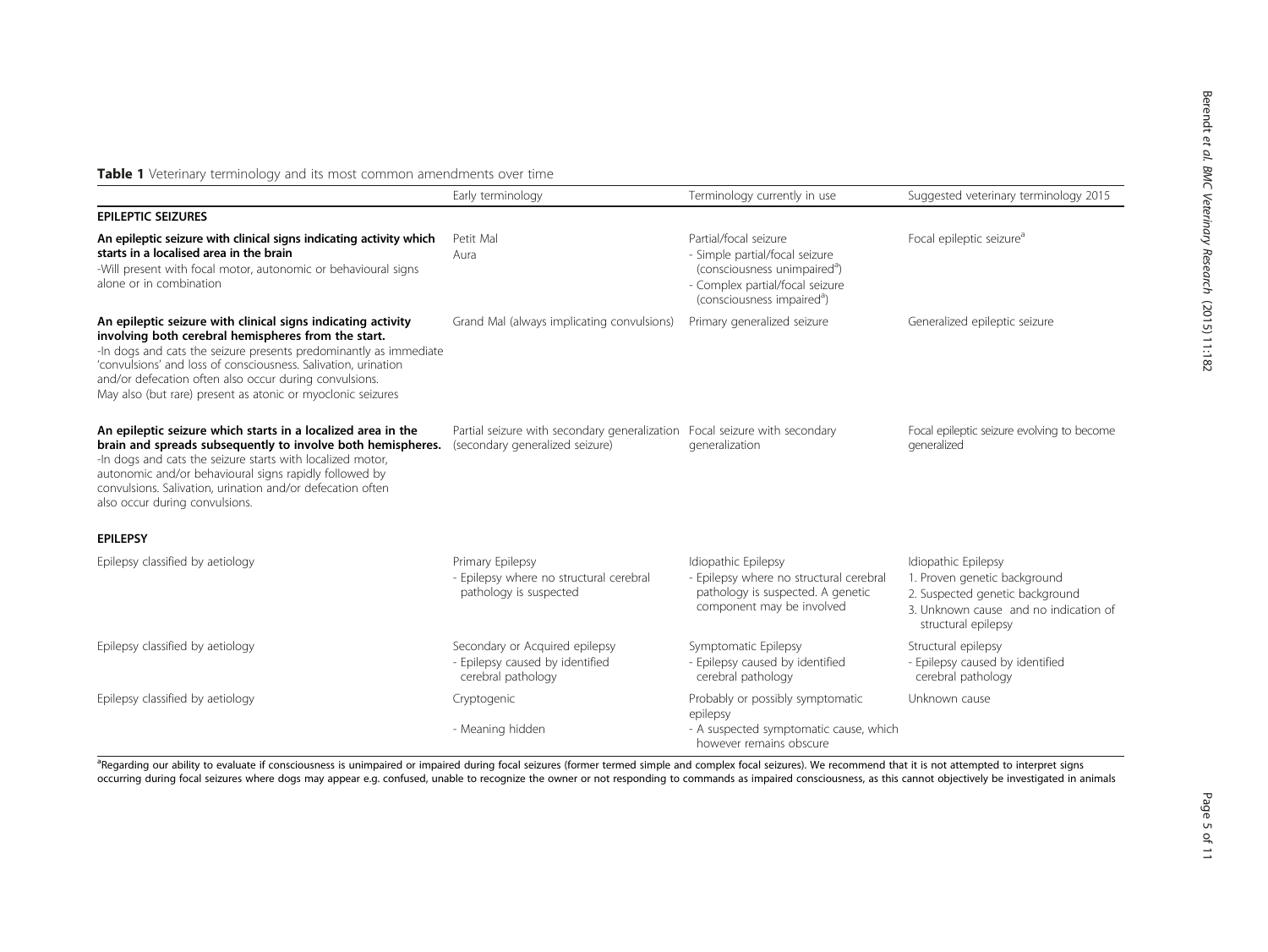<span id="page-4-0"></span>Table 1 Veterinary terminology and its most common amendments over time

|                                                                                                                                                                                                                                                                                                                                                                                     | Early terminology                                                                                             | Terminology currently in use                                                                                                                                                     | Suggested veterinary terminology 2015                                                                                                                  |
|-------------------------------------------------------------------------------------------------------------------------------------------------------------------------------------------------------------------------------------------------------------------------------------------------------------------------------------------------------------------------------------|---------------------------------------------------------------------------------------------------------------|----------------------------------------------------------------------------------------------------------------------------------------------------------------------------------|--------------------------------------------------------------------------------------------------------------------------------------------------------|
| <b>EPILEPTIC SEIZURES</b>                                                                                                                                                                                                                                                                                                                                                           |                                                                                                               |                                                                                                                                                                                  |                                                                                                                                                        |
| An epileptic seizure with clinical signs indicating activity which<br>starts in a localised area in the brain<br>-Will present with focal motor, autonomic or behavioural signs<br>alone or in combination                                                                                                                                                                          | Petit Mal<br>Aura                                                                                             | Partial/focal seizure<br>- Simple partial/focal seizure<br>(consciousness unimpaired <sup>a</sup> )<br>- Complex partial/focal seizure<br>(consciousness impaired <sup>a</sup> ) | Focal epileptic seizure <sup>a</sup>                                                                                                                   |
| An epileptic seizure with clinical signs indicating activity<br>involving both cerebral hemispheres from the start.<br>-In dogs and cats the seizure presents predominantly as immediate<br>'convulsions' and loss of consciousness. Salivation, urination<br>and/or defecation often also occur during convulsions.<br>May also (but rare) present as atonic or myoclonic seizures | Grand Mal (always implicating convulsions)                                                                    | Primary generalized seizure                                                                                                                                                      | Generalized epileptic seizure                                                                                                                          |
| An epileptic seizure which starts in a localized area in the<br>brain and spreads subsequently to involve both hemispheres.<br>-In dogs and cats the seizure starts with localized motor,<br>autonomic and/or behavioural signs rapidly followed by<br>convulsions. Salivation, urination and/or defecation often<br>also occur during convulsions.                                 | Partial seizure with secondary generalization Focal seizure with secondary<br>(secondary generalized seizure) | generalization                                                                                                                                                                   | Focal epileptic seizure evolving to become<br>generalized                                                                                              |
| <b>EPILEPSY</b>                                                                                                                                                                                                                                                                                                                                                                     |                                                                                                               |                                                                                                                                                                                  |                                                                                                                                                        |
| Epilepsy classified by aetiology                                                                                                                                                                                                                                                                                                                                                    | Primary Epilepsy<br>- Epilepsy where no structural cerebral<br>pathology is suspected                         | Idiopathic Epilepsy<br>- Epilepsy where no structural cerebral<br>pathology is suspected. A genetic<br>component may be involved                                                 | Idiopathic Epilepsy<br>1. Proven genetic background<br>2. Suspected genetic background<br>3. Unknown cause and no indication of<br>structural epilepsy |
| Epilepsy classified by aetiology                                                                                                                                                                                                                                                                                                                                                    | Secondary or Acquired epilepsy<br>- Epilepsy caused by identified<br>cerebral pathology                       | Symptomatic Epilepsy<br>- Epilepsy caused by identified<br>cerebral pathology                                                                                                    | Structural epilepsy<br>- Epilepsy caused by identified<br>cerebral pathology                                                                           |
| Epilepsy classified by aetiology                                                                                                                                                                                                                                                                                                                                                    | Cryptogenic<br>- Meaning hidden                                                                               | Probably or possibly symptomatic<br>epilepsy<br>- A suspected symptomatic cause, which<br>however remains obscure                                                                | Unknown cause                                                                                                                                          |

<sup>a</sup>Regarding our ability to evaluate if consciousness is unimpaired or impaired during focal seizures (former termed simple and complex focal seizures). We recommend that it is not attempted to interpret signs occurring during focal seizures where dogs may appear e.g. confused, unable to recognize the owner or not responding to commands as impaired consciousness, as this cannot objectively be investigated in animals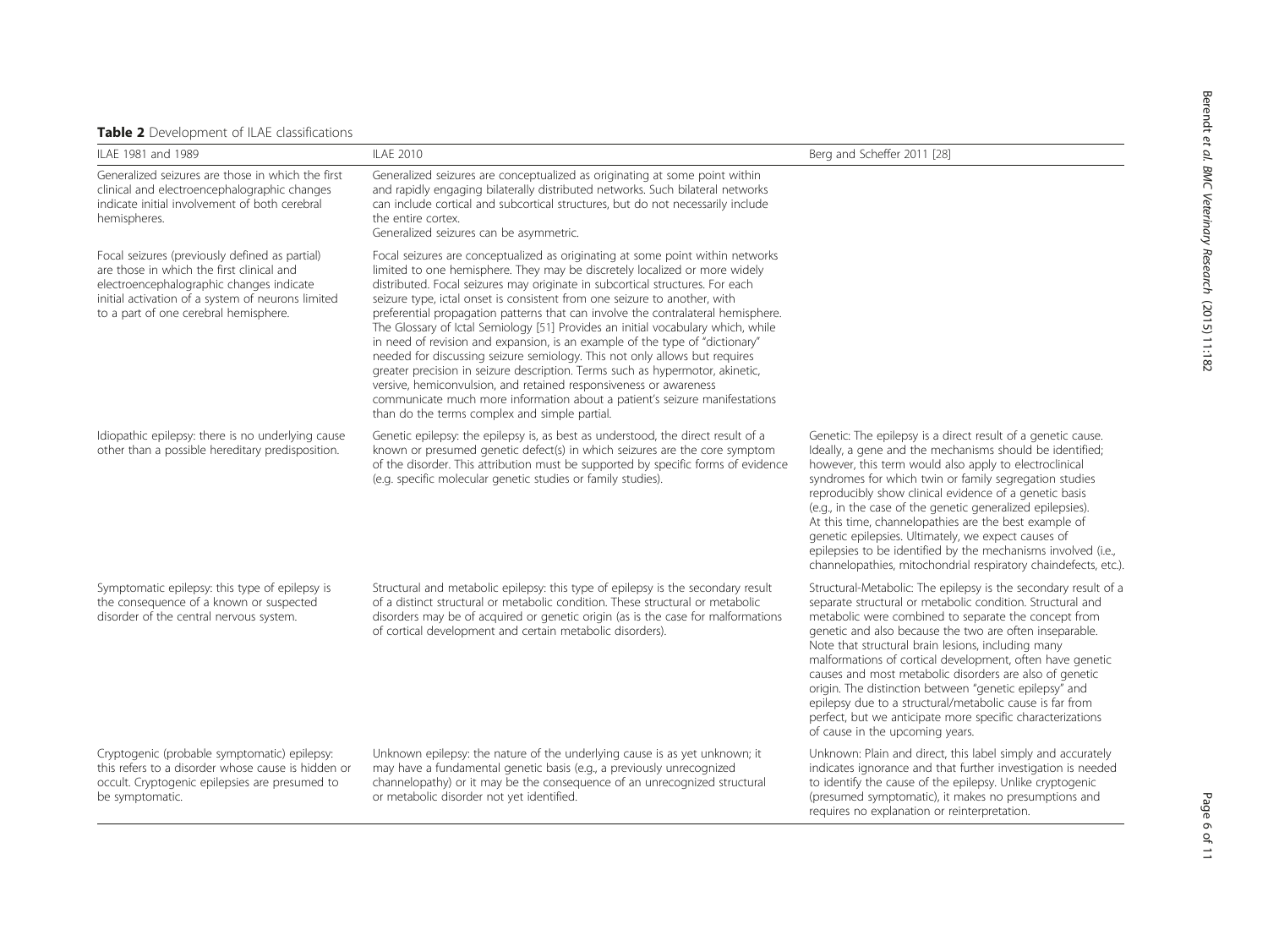### <span id="page-5-0"></span>Table 2 Development of II AF classifications

| ILAE 1981 and 1989                                                                                                                                                                                                                    | ILAE 2010                                                                                                                                                                                                                                                                                                                                                                                                                                                                                                                                                                                                                                                                                                                                                                                                                                                                                                                                             | Berg and Scheffer 2011 [28]                                                                                                                                                                                                                                                                                                                                                                                                                                                                                                                                                                                                                           |
|---------------------------------------------------------------------------------------------------------------------------------------------------------------------------------------------------------------------------------------|-------------------------------------------------------------------------------------------------------------------------------------------------------------------------------------------------------------------------------------------------------------------------------------------------------------------------------------------------------------------------------------------------------------------------------------------------------------------------------------------------------------------------------------------------------------------------------------------------------------------------------------------------------------------------------------------------------------------------------------------------------------------------------------------------------------------------------------------------------------------------------------------------------------------------------------------------------|-------------------------------------------------------------------------------------------------------------------------------------------------------------------------------------------------------------------------------------------------------------------------------------------------------------------------------------------------------------------------------------------------------------------------------------------------------------------------------------------------------------------------------------------------------------------------------------------------------------------------------------------------------|
| Generalized seizures are those in which the first<br>clinical and electroencephalographic changes<br>indicate initial involvement of both cerebral<br>hemispheres.                                                                    | Generalized seizures are conceptualized as originating at some point within<br>and rapidly engaging bilaterally distributed networks. Such bilateral networks<br>can include cortical and subcortical structures, but do not necessarily include<br>the entire cortex.<br>Generalized seizures can be asymmetric.                                                                                                                                                                                                                                                                                                                                                                                                                                                                                                                                                                                                                                     |                                                                                                                                                                                                                                                                                                                                                                                                                                                                                                                                                                                                                                                       |
| Focal seizures (previously defined as partial)<br>are those in which the first clinical and<br>electroencephalographic changes indicate<br>initial activation of a system of neurons limited<br>to a part of one cerebral hemisphere. | Focal seizures are conceptualized as originating at some point within networks<br>limited to one hemisphere. They may be discretely localized or more widely<br>distributed. Focal seizures may originate in subcortical structures. For each<br>seizure type, ictal onset is consistent from one seizure to another, with<br>preferential propagation patterns that can involve the contralateral hemisphere.<br>The Glossary of Ictal Semiology [51] Provides an initial vocabulary which, while<br>in need of revision and expansion, is an example of the type of "dictionary"<br>needed for discussing seizure semiology. This not only allows but requires<br>greater precision in seizure description. Terms such as hypermotor, akinetic,<br>versive, hemiconvulsion, and retained responsiveness or awareness<br>communicate much more information about a patient's seizure manifestations<br>than do the terms complex and simple partial. |                                                                                                                                                                                                                                                                                                                                                                                                                                                                                                                                                                                                                                                       |
| Idiopathic epilepsy: there is no underlying cause<br>other than a possible hereditary predisposition.                                                                                                                                 | Genetic epilepsy: the epilepsy is, as best as understood, the direct result of a<br>known or presumed genetic defect(s) in which seizures are the core symptom<br>of the disorder. This attribution must be supported by specific forms of evidence<br>(e.g. specific molecular genetic studies or family studies).                                                                                                                                                                                                                                                                                                                                                                                                                                                                                                                                                                                                                                   | Genetic: The epilepsy is a direct result of a genetic cause.<br>Ideally, a gene and the mechanisms should be identified;<br>however, this term would also apply to electroclinical<br>syndromes for which twin or family segregation studies<br>reproducibly show clinical evidence of a genetic basis<br>(e.g., in the case of the genetic generalized epilepsies).<br>At this time, channelopathies are the best example of<br>genetic epilepsies. Ultimately, we expect causes of<br>epilepsies to be identified by the mechanisms involved (i.e.,<br>channelopathies, mitochondrial respiratory chaindefects, etc.).                              |
| Symptomatic epilepsy: this type of epilepsy is<br>the consequence of a known or suspected<br>disorder of the central nervous system.                                                                                                  | Structural and metabolic epilepsy: this type of epilepsy is the secondary result<br>of a distinct structural or metabolic condition. These structural or metabolic<br>disorders may be of acquired or genetic origin (as is the case for malformations<br>of cortical development and certain metabolic disorders).                                                                                                                                                                                                                                                                                                                                                                                                                                                                                                                                                                                                                                   | Structural-Metabolic: The epilepsy is the secondary result of a<br>separate structural or metabolic condition. Structural and<br>metabolic were combined to separate the concept from<br>genetic and also because the two are often inseparable.<br>Note that structural brain lesions, including many<br>malformations of cortical development, often have genetic<br>causes and most metabolic disorders are also of genetic<br>origin. The distinction between "genetic epilepsy" and<br>epilepsy due to a structural/metabolic cause is far from<br>perfect, but we anticipate more specific characterizations<br>of cause in the upcoming years. |
| Cryptogenic (probable symptomatic) epilepsy:<br>this refers to a disorder whose cause is hidden or<br>occult. Cryptogenic epilepsies are presumed to<br>be symptomatic.                                                               | Unknown epilepsy: the nature of the underlying cause is as yet unknown; it<br>may have a fundamental genetic basis (e.g., a previously unrecognized<br>channelopathy) or it may be the consequence of an unrecognized structural<br>or metabolic disorder not yet identified.                                                                                                                                                                                                                                                                                                                                                                                                                                                                                                                                                                                                                                                                         | Unknown: Plain and direct, this label simply and accurately<br>indicates ignorance and that further investigation is needed<br>to identify the cause of the epilepsy. Unlike cryptogenic<br>(presumed symptomatic), it makes no presumptions and<br>requires no explanation or reinterpretation.                                                                                                                                                                                                                                                                                                                                                      |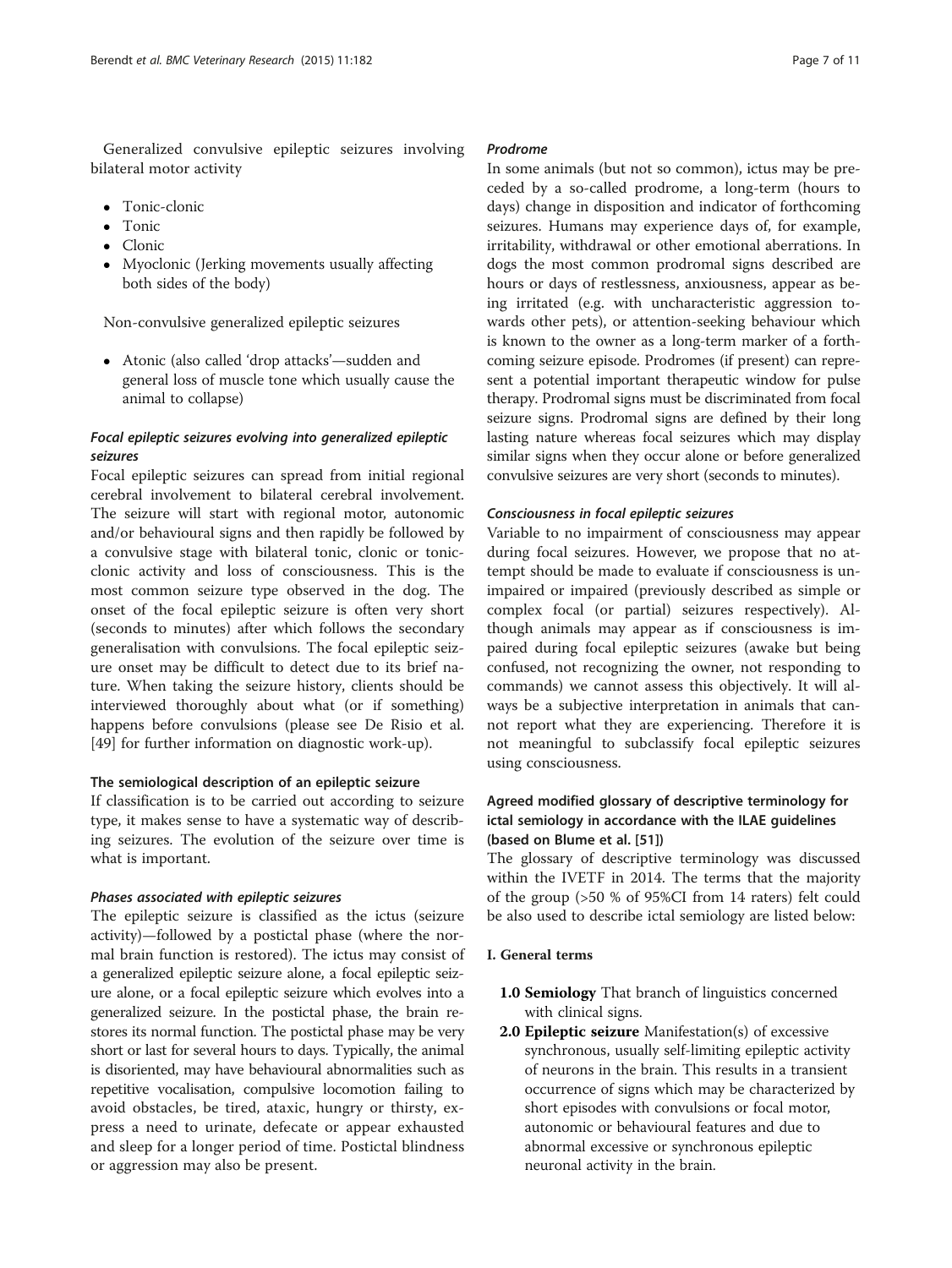Generalized convulsive epileptic seizures involving bilateral motor activity

- Tonic-clonic
- $T<sub>onic</sub>$
- Clonic
- Myoclonic (Jerking movements usually affecting both sides of the body)

Non-convulsive generalized epileptic seizures

 Atonic (also called 'drop attacks'—sudden and general loss of muscle tone which usually cause the animal to collapse)

# Focal epileptic seizures evolving into generalized epileptic seizures

Focal epileptic seizures can spread from initial regional cerebral involvement to bilateral cerebral involvement. The seizure will start with regional motor, autonomic and/or behavioural signs and then rapidly be followed by a convulsive stage with bilateral tonic, clonic or tonicclonic activity and loss of consciousness. This is the most common seizure type observed in the dog. The onset of the focal epileptic seizure is often very short (seconds to minutes) after which follows the secondary generalisation with convulsions. The focal epileptic seizure onset may be difficult to detect due to its brief nature. When taking the seizure history, clients should be interviewed thoroughly about what (or if something) happens before convulsions (please see De Risio et al. [[49\]](#page-10-0) for further information on diagnostic work-up).

## The semiological description of an epileptic seizure

If classification is to be carried out according to seizure type, it makes sense to have a systematic way of describing seizures. The evolution of the seizure over time is what is important.

## Phases associated with epileptic seizures

The epileptic seizure is classified as the ictus (seizure activity)—followed by a postictal phase (where the normal brain function is restored). The ictus may consist of a generalized epileptic seizure alone, a focal epileptic seizure alone, or a focal epileptic seizure which evolves into a generalized seizure. In the postictal phase, the brain restores its normal function. The postictal phase may be very short or last for several hours to days. Typically, the animal is disoriented, may have behavioural abnormalities such as repetitive vocalisation, compulsive locomotion failing to avoid obstacles, be tired, ataxic, hungry or thirsty, express a need to urinate, defecate or appear exhausted and sleep for a longer period of time. Postictal blindness or aggression may also be present.

#### Prodrome

In some animals (but not so common), ictus may be preceded by a so-called prodrome, a long-term (hours to days) change in disposition and indicator of forthcoming seizures. Humans may experience days of, for example, irritability, withdrawal or other emotional aberrations. In dogs the most common prodromal signs described are hours or days of restlessness, anxiousness, appear as being irritated (e.g. with uncharacteristic aggression towards other pets), or attention-seeking behaviour which is known to the owner as a long-term marker of a forthcoming seizure episode. Prodromes (if present) can represent a potential important therapeutic window for pulse therapy. Prodromal signs must be discriminated from focal seizure signs. Prodromal signs are defined by their long lasting nature whereas focal seizures which may display similar signs when they occur alone or before generalized convulsive seizures are very short (seconds to minutes).

### Consciousness in focal epileptic seizures

Variable to no impairment of consciousness may appear during focal seizures. However, we propose that no attempt should be made to evaluate if consciousness is unimpaired or impaired (previously described as simple or complex focal (or partial) seizures respectively). Although animals may appear as if consciousness is impaired during focal epileptic seizures (awake but being confused, not recognizing the owner, not responding to commands) we cannot assess this objectively. It will always be a subjective interpretation in animals that cannot report what they are experiencing. Therefore it is not meaningful to subclassify focal epileptic seizures using consciousness.

# Agreed modified glossary of descriptive terminology for ictal semiology in accordance with the ILAE guidelines (based on Blume et al. [\[51\]](#page-10-0))

The glossary of descriptive terminology was discussed within the IVETF in 2014. The terms that the majority of the group (>50 % of 95%CI from 14 raters) felt could be also used to describe ictal semiology are listed below:

## I. General terms

- **1.0 Semiology** That branch of linguistics concerned with clinical signs.
- 2.0 Epileptic seizure Manifestation(s) of excessive synchronous, usually self-limiting epileptic activity of neurons in the brain. This results in a transient occurrence of signs which may be characterized by short episodes with convulsions or focal motor, autonomic or behavioural features and due to abnormal excessive or synchronous epileptic neuronal activity in the brain.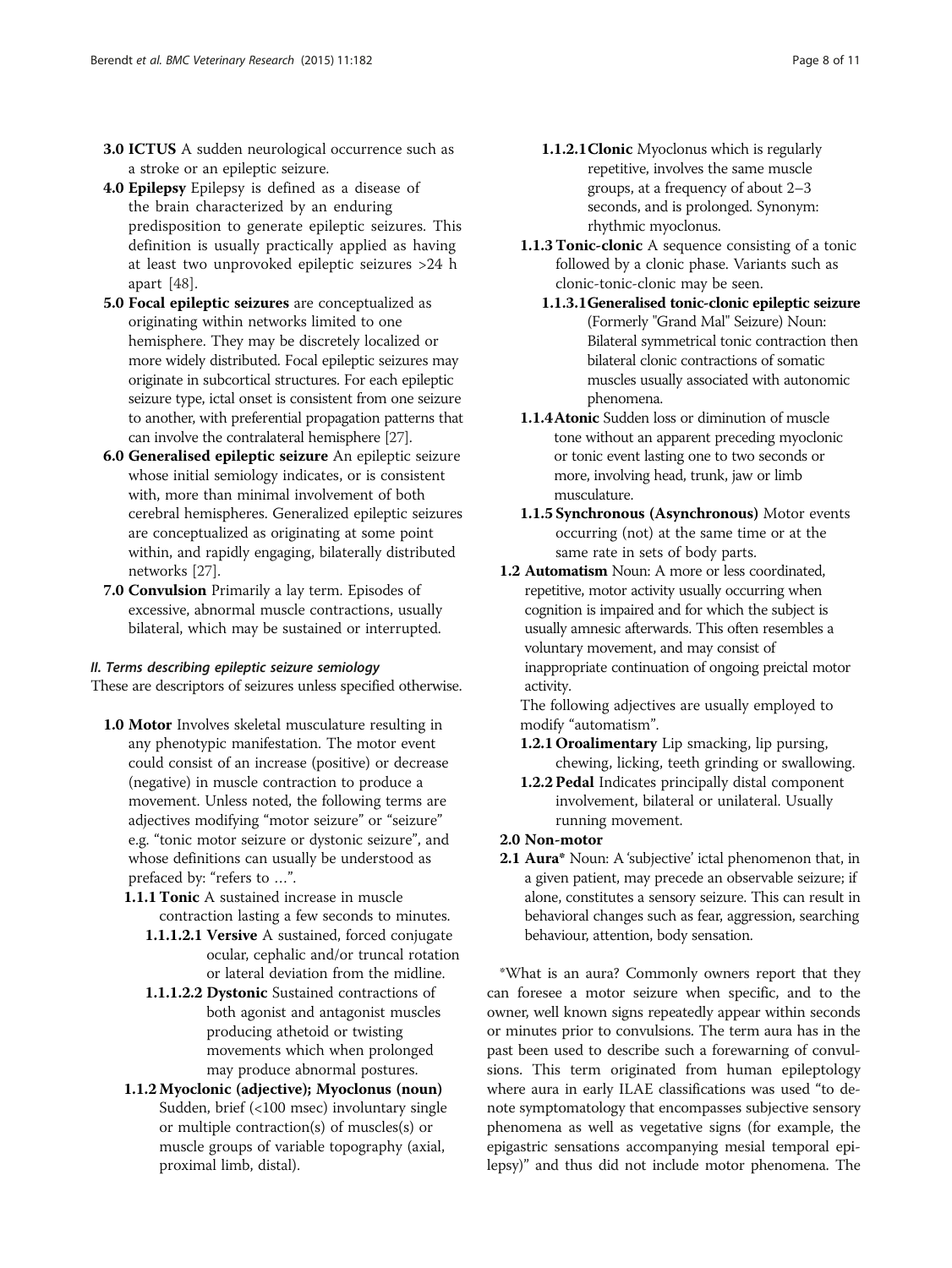- 3.0 ICTUS A sudden neurological occurrence such as a stroke or an epileptic seizure.
- 4.0 Epilepsy Epilepsy is defined as a disease of the brain characterized by an enduring predisposition to generate epileptic seizures. This definition is usually practically applied as having at least two unprovoked epileptic seizures >24 h apart [[48](#page-10-0)].
- 5.0 Focal epileptic seizures are conceptualized as originating within networks limited to one hemisphere. They may be discretely localized or more widely distributed. Focal epileptic seizures may originate in subcortical structures. For each epileptic seizure type, ictal onset is consistent from one seizure to another, with preferential propagation patterns that can involve the contralateral hemisphere [[27](#page-10-0)].
- 6.0 Generalised epileptic seizure An epileptic seizure whose initial semiology indicates, or is consistent with, more than minimal involvement of both cerebral hemispheres. Generalized epileptic seizures are conceptualized as originating at some point within, and rapidly engaging, bilaterally distributed networks [\[27\]](#page-10-0).
- 7.0 Convulsion Primarily a lay term. Episodes of excessive, abnormal muscle contractions, usually bilateral, which may be sustained or interrupted.

### II. Terms describing epileptic seizure semiology

These are descriptors of seizures unless specified otherwise.

- 1.0 Motor Involves skeletal musculature resulting in any phenotypic manifestation. The motor event could consist of an increase (positive) or decrease (negative) in muscle contraction to produce a movement. Unless noted, the following terms are adjectives modifying "motor seizure" or "seizure" e.g. "tonic motor seizure or dystonic seizure", and whose definitions can usually be understood as prefaced by: "refers to …".
	- 1.1.1 Tonic A sustained increase in muscle contraction lasting a few seconds to minutes.
		- 1.1.1.2.1 Versive A sustained, forced conjugate ocular, cephalic and/or truncal rotation or lateral deviation from the midline.
		- 1.1.1.2.2 Dystonic Sustained contractions of both agonist and antagonist muscles producing athetoid or twisting movements which when prolonged may produce abnormal postures.
	- 1.1.2 Myoclonic (adjective); Myoclonus (noun) Sudden, brief (<100 msec) involuntary single or multiple contraction(s) of muscles(s) or muscle groups of variable topography (axial, proximal limb, distal).
- 1.1.2.1 Clonic Myoclonus which is regularly repetitive, involves the same muscle groups, at a frequency of about 2–3 seconds, and is prolonged. Synonym: rhythmic myoclonus.
- 1.1.3 Tonic-clonic A sequence consisting of a tonic followed by a clonic phase. Variants such as clonic-tonic-clonic may be seen.
	- 1.1.3.1Generalised tonic-clonic epileptic seizure (Formerly "Grand Mal" Seizure) Noun: Bilateral symmetrical tonic contraction then bilateral clonic contractions of somatic muscles usually associated with autonomic phenomena.
- 1.1.4Atonic Sudden loss or diminution of muscle tone without an apparent preceding myoclonic or tonic event lasting one to two seconds or more, involving head, trunk, jaw or limb musculature.
- 1.1.5 Synchronous (Asynchronous) Motor events occurring (not) at the same time or at the same rate in sets of body parts.
- 1.2 Automatism Noun: A more or less coordinated, repetitive, motor activity usually occurring when cognition is impaired and for which the subject is usually amnesic afterwards. This often resembles a voluntary movement, and may consist of inappropriate continuation of ongoing preictal motor activity.

The following adjectives are usually employed to modify "automatism".

- 1.2.1 Oroalimentary Lip smacking, lip pursing, chewing, licking, teeth grinding or swallowing.
- 1.2.2 Pedal Indicates principally distal component involvement, bilateral or unilateral. Usually running movement.

## 2.0 Non-motor

2.1 Aura\* Noun: A 'subjective' ictal phenomenon that, in a given patient, may precede an observable seizure; if alone, constitutes a sensory seizure. This can result in behavioral changes such as fear, aggression, searching behaviour, attention, body sensation.

\*What is an aura? Commonly owners report that they can foresee a motor seizure when specific, and to the owner, well known signs repeatedly appear within seconds or minutes prior to convulsions. The term aura has in the past been used to describe such a forewarning of convulsions. This term originated from human epileptology where aura in early ILAE classifications was used "to denote symptomatology that encompasses subjective sensory phenomena as well as vegetative signs (for example, the epigastric sensations accompanying mesial temporal epilepsy)" and thus did not include motor phenomena. The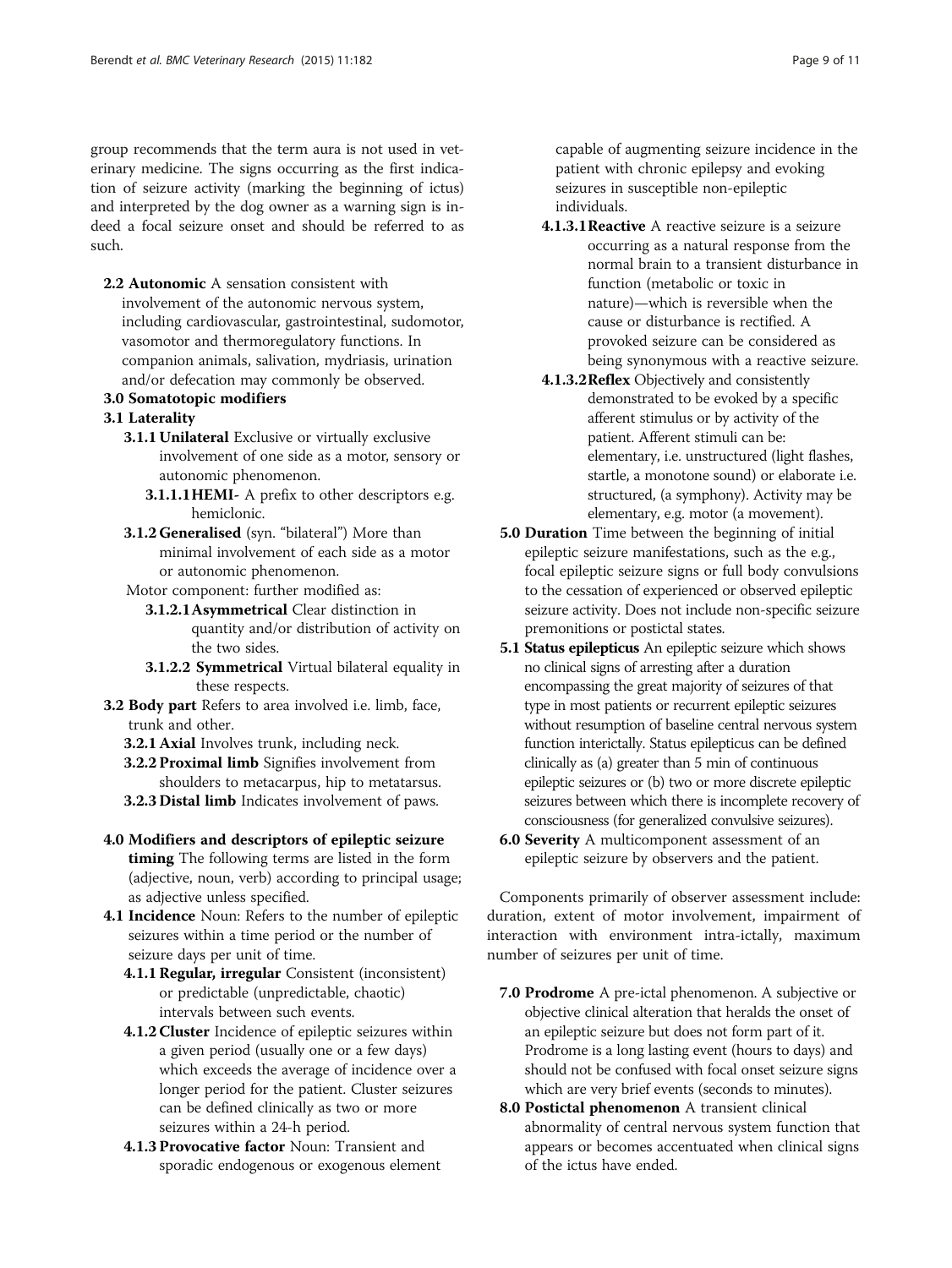group recommends that the term aura is not used in veterinary medicine. The signs occurring as the first indication of seizure activity (marking the beginning of ictus) and interpreted by the dog owner as a warning sign is indeed a focal seizure onset and should be referred to as such.

# 2.2 Autonomic A sensation consistent with

involvement of the autonomic nervous system, including cardiovascular, gastrointestinal, sudomotor, vasomotor and thermoregulatory functions. In companion animals, salivation, mydriasis, urination and/or defecation may commonly be observed.

3.0 Somatotopic modifiers

# 3.1 Laterality

- 3.1.1 Unilateral Exclusive or virtually exclusive involvement of one side as a motor, sensory or autonomic phenomenon.
	- 3.1.1.1HEMI- A prefix to other descriptors e.g. hemiclonic.
- 3.1.2 Generalised (syn. "bilateral") More than minimal involvement of each side as a motor or autonomic phenomenon.
- Motor component: further modified as:
	- 3.1.2.1Asymmetrical Clear distinction in quantity and/or distribution of activity on the two sides.
	- 3.1.2.2 Symmetrical Virtual bilateral equality in these respects.
- 3.2 Body part Refers to area involved i.e. limb, face, trunk and other.
	- 3.2.1 Axial Involves trunk, including neck.
	- 3.2.2 Proximal limb Signifies involvement from shoulders to metacarpus, hip to metatarsus.
	- 3.2.3 Distal limb Indicates involvement of paws.
- 4.0 Modifiers and descriptors of epileptic seizure timing The following terms are listed in the form (adjective, noun, verb) according to principal usage; as adjective unless specified.
- 4.1 Incidence Noun: Refers to the number of epileptic seizures within a time period or the number of seizure days per unit of time.
	- 4.1.1 Regular, irregular Consistent (inconsistent) or predictable (unpredictable, chaotic) intervals between such events.
	- 4.1.2 Cluster Incidence of epileptic seizures within a given period (usually one or a few days) which exceeds the average of incidence over a longer period for the patient. Cluster seizures can be defined clinically as two or more seizures within a 24-h period.
	- 4.1.3 Provocative factor Noun: Transient and sporadic endogenous or exogenous element

capable of augmenting seizure incidence in the patient with chronic epilepsy and evoking seizures in susceptible non-epileptic individuals.

- 4.1.3.1Reactive A reactive seizure is a seizure occurring as a natural response from the normal brain to a transient disturbance in function (metabolic or toxic in nature)—which is reversible when the cause or disturbance is rectified. A provoked seizure can be considered as being synonymous with a reactive seizure.
- 4.1.3.2Reflex Objectively and consistently demonstrated to be evoked by a specific afferent stimulus or by activity of the patient. Afferent stimuli can be: elementary, i.e. unstructured (light flashes, startle, a monotone sound) or elaborate i.e. structured, (a symphony). Activity may be elementary, e.g. motor (a movement).
- 5.0 Duration Time between the beginning of initial epileptic seizure manifestations, such as the e.g., focal epileptic seizure signs or full body convulsions to the cessation of experienced or observed epileptic seizure activity. Does not include non-specific seizure premonitions or postictal states.
- 5.1 Status epilepticus An epileptic seizure which shows no clinical signs of arresting after a duration encompassing the great majority of seizures of that type in most patients or recurrent epileptic seizures without resumption of baseline central nervous system function interictally. Status epilepticus can be defined clinically as (a) greater than 5 min of continuous epileptic seizures or (b) two or more discrete epileptic seizures between which there is incomplete recovery of consciousness (for generalized convulsive seizures).
- 6.0 Severity A multicomponent assessment of an epileptic seizure by observers and the patient.

Components primarily of observer assessment include: duration, extent of motor involvement, impairment of interaction with environment intra-ictally, maximum number of seizures per unit of time.

- 7.0 Prodrome A pre-ictal phenomenon. A subjective or objective clinical alteration that heralds the onset of an epileptic seizure but does not form part of it. Prodrome is a long lasting event (hours to days) and should not be confused with focal onset seizure signs which are very brief events (seconds to minutes).
- 8.0 Postictal phenomenon A transient clinical abnormality of central nervous system function that appears or becomes accentuated when clinical signs of the ictus have ended.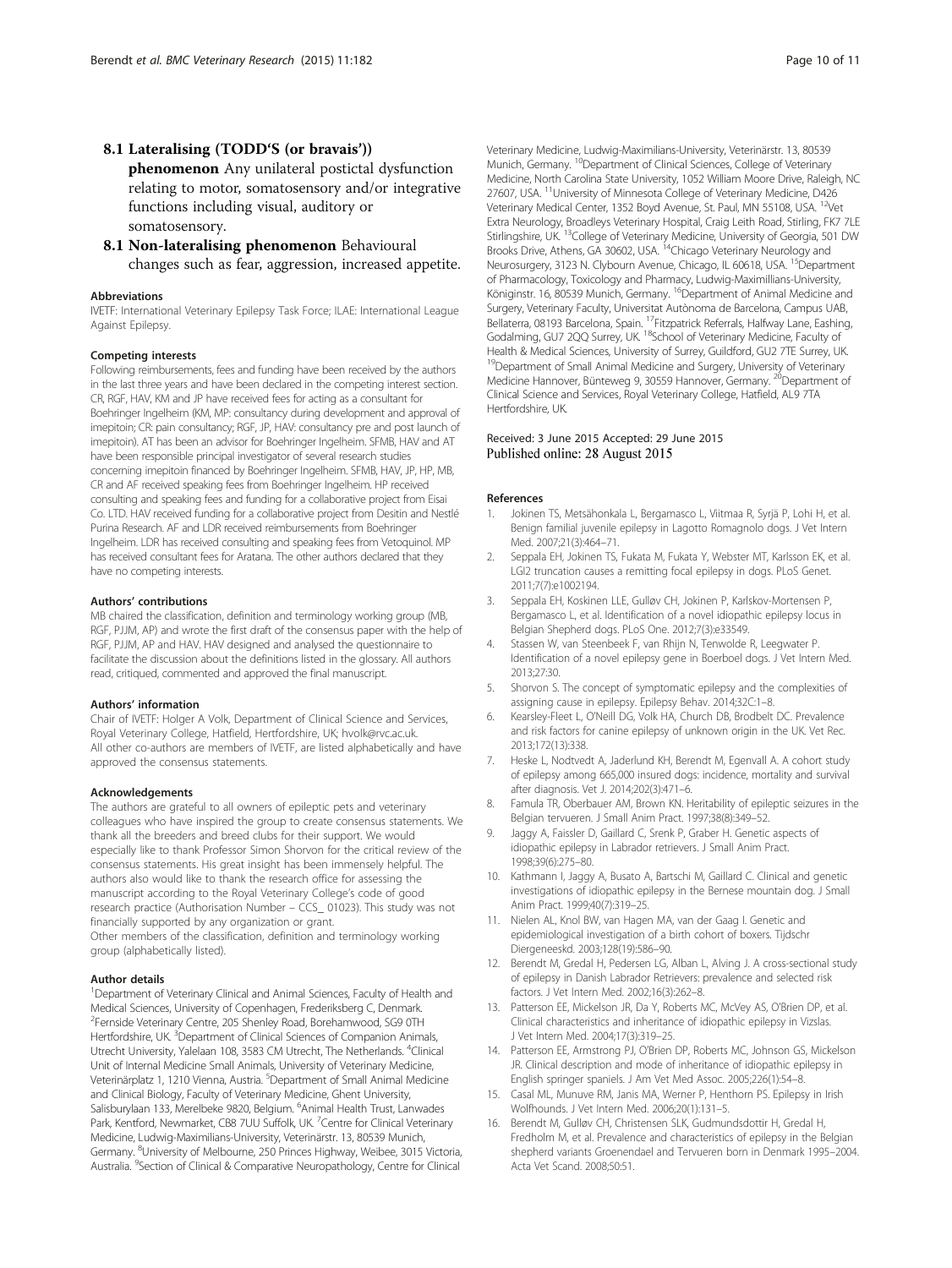<span id="page-9-0"></span>phenomenon Any unilateral postictal dysfunction relating to motor, somatosensory and/or integrative functions including visual, auditory or somatosensory.

8.1 Non-lateralising phenomenon Behavioural changes such as fear, aggression, increased appetite.

#### Abbreviations

IVETF: International Veterinary Epilepsy Task Force; ILAE: International League Against Epilepsy.

#### Competing interests

Following reimbursements, fees and funding have been received by the authors in the last three years and have been declared in the competing interest section. CR, RGF, HAV, KM and JP have received fees for acting as a consultant for Boehringer Ingelheim (KM, MP: consultancy during development and approval of imepitoin; CR: pain consultancy; RGF, JP, HAV: consultancy pre and post launch of imepitoin). AT has been an advisor for Boehringer Ingelheim. SFMB, HAV and AT have been responsible principal investigator of several research studies concerning imepitoin financed by Boehringer Ingelheim. SFMB, HAV, JP, HP, MB, CR and AF received speaking fees from Boehringer Ingelheim. HP received consulting and speaking fees and funding for a collaborative project from Eisai Co. LTD. HAV received funding for a collaborative project from Desitin and Nestlé Purina Research. AF and LDR received reimbursements from Boehringer Ingelheim. LDR has received consulting and speaking fees from Vetoquinol. MP has received consultant fees for Aratana. The other authors declared that they have no competing interests.

#### Authors' contributions

MB chaired the classification, definition and terminology working group (MB, RGF, PJJM, AP) and wrote the first draft of the consensus paper with the help of RGF, PJJM, AP and HAV. HAV designed and analysed the questionnaire to facilitate the discussion about the definitions listed in the glossary. All authors read, critiqued, commented and approved the final manuscript.

#### Authors' information

Chair of IVETF: Holger A Volk, Department of Clinical Science and Services, Royal Veterinary College, Hatfield, Hertfordshire, UK; hvolk@rvc.ac.uk. All other co-authors are members of IVETF, are listed alphabetically and have approved the consensus statements.

#### Acknowledgements

The authors are grateful to all owners of epileptic pets and veterinary colleagues who have inspired the group to create consensus statements. We thank all the breeders and breed clubs for their support. We would especially like to thank Professor Simon Shorvon for the critical review of the consensus statements. His great insight has been immensely helpful. The authors also would like to thank the research office for assessing the manuscript according to the Royal Veterinary College's code of good research practice (Authorisation Number – CCS\_ 01023). This study was not financially supported by any organization or grant. Other members of the classification, definition and terminology working group (alphabetically listed).

#### Author details

<sup>1</sup>Department of Veterinary Clinical and Animal Sciences, Faculty of Health and Medical Sciences, University of Copenhagen, Frederiksberg C, Denmark. 2 Fernside Veterinary Centre, 205 Shenley Road, Borehamwood, SG9 0TH Hertfordshire, UK. <sup>3</sup>Department of Clinical Sciences of Companion Animals, Utrecht University, Yalelaan 108, 3583 CM Utrecht, The Netherlands. <sup>4</sup>Clinical Unit of Internal Medicine Small Animals, University of Veterinary Medicine, Veterinärplatz 1, 1210 Vienna, Austria. <sup>5</sup>Department of Small Animal Medicine and Clinical Biology, Faculty of Veterinary Medicine, Ghent University, Salisburylaan 133, Merelbeke 9820, Belgium. <sup>6</sup>Animal Health Trust, Lanwades Park, Kentford, Newmarket, CB8 7UU Suffolk, UK. <sup>7</sup>Centre for Clinical Veterinary Medicine, Ludwig-Maximilians-University, Veterinärstr. 13, 80539 Munich, Germany. <sup>8</sup>University of Melbourne, 250 Princes Highway, Weibee, 3015 Victoria, Australia. <sup>9</sup>Section of Clinical & Comparative Neuropathology, Centre for Clinical

Veterinary Medicine, Ludwig-Maximilians-University, Veterinärstr. 13, 80539 Munich, Germany. <sup>10</sup>Department of Clinical Sciences, College of Veterinary Medicine, North Carolina State University, 1052 William Moore Drive, Raleigh, NC 27607, USA. <sup>11</sup>University of Minnesota College of Veterinary Medicine, D426 Veterinary Medical Center, 1352 Boyd Avenue, St. Paul, MN 55108, USA. <sup>12</sup>Vet Extra Neurology, Broadleys Veterinary Hospital, Craig Leith Road, Stirling, FK7 7LE Stirlingshire, UK. <sup>13</sup>College of Veterinary Medicine, University of Georgia, 501 DW Brooks Drive, Athens, GA 30602, USA. 14Chicago Veterinary Neurology and Neurosurgery, 3123 N. Clybourn Avenue, Chicago, IL 60618, USA. <sup>15</sup>Department of Pharmacology, Toxicology and Pharmacy, Ludwig-Maximillians-University, Königinstr. 16, 80539 Munich, Germany. 16Department of Animal Medicine and Surgery, Veterinary Faculty, Universitat Autònoma de Barcelona, Campus UAB, Bellaterra, 08193 Barcelona, Spain. <sup>17</sup>Fitzpatrick Referrals, Halfway Lane, Eashing, Godalming, GU7 2QQ Surrey, UK. <sup>18</sup>School of Veterinary Medicine, Faculty of Health & Medical Sciences, University of Surrey, Guildford, GU2 7TE Surrey, UK. <sup>19</sup>Department of Small Animal Medicine and Surgery, University of Veterinary Medicine Hannover, Bünteweg 9, 30559 Hannover, Germany. <sup>20</sup>Department of Clinical Science and Services, Royal Veterinary College, Hatfield, AL9 7TA Hertfordshire, UK.

#### Received: 3 June 2015 Accepted: 29 June 2015 Published online: 28 August 2015

#### References

- 1. Jokinen TS, Metsähonkala L, Bergamasco L, Viitmaa R, Syrjä P, Lohi H, et al. Benign familial juvenile epilepsy in Lagotto Romagnolo dogs. J Vet Intern Med. 2007;21(3):464–71.
- 2. Seppala EH, Jokinen TS, Fukata M, Fukata Y, Webster MT, Karlsson EK, et al. LGI2 truncation causes a remitting focal epilepsy in dogs. PLoS Genet. 2011;7(7):e1002194.
- 3. Seppala EH, Koskinen LLE, Gulløv CH, Jokinen P, Karlskov-Mortensen P, Bergamasco L, et al. Identification of a novel idiopathic epilepsy locus in Belgian Shepherd dogs. PLoS One. 2012;7(3):e33549.
- 4. Stassen W, van Steenbeek F, van Rhijn N, Tenwolde R, Leegwater P. Identification of a novel epilepsy gene in Boerboel dogs. J Vet Intern Med. 2013;27:30.
- 5. Shorvon S. The concept of symptomatic epilepsy and the complexities of assigning cause in epilepsy. Epilepsy Behav. 2014;32C:1–8.
- Kearsley-Fleet L, O'Neill DG, Volk HA, Church DB, Brodbelt DC. Prevalence and risk factors for canine epilepsy of unknown origin in the UK. Vet Rec. 2013;172(13):338.
- 7. Heske L, Nodtvedt A, Jaderlund KH, Berendt M, Egenvall A. A cohort study of epilepsy among 665,000 insured dogs: incidence, mortality and survival after diagnosis. Vet J. 2014;202(3):471–6.
- 8. Famula TR, Oberbauer AM, Brown KN. Heritability of epileptic seizures in the Belgian tervueren. J Small Anim Pract. 1997;38(8):349–52.
- 9. Jaggy A, Faissler D, Gaillard C, Srenk P, Graber H. Genetic aspects of idiopathic epilepsy in Labrador retrievers. J Small Anim Pract. 1998;39(6):275–80.
- 10. Kathmann I, Jaggy A, Busato A, Bartschi M, Gaillard C. Clinical and genetic investigations of idiopathic epilepsy in the Bernese mountain dog. J Small Anim Pract. 1999;40(7):319–25.
- 11. Nielen AL, Knol BW, van Hagen MA, van der Gaag I. Genetic and epidemiological investigation of a birth cohort of boxers. Tijdschr Diergeneeskd. 2003;128(19):586–90.
- 12. Berendt M, Gredal H, Pedersen LG, Alban L, Alving J. A cross-sectional study of epilepsy in Danish Labrador Retrievers: prevalence and selected risk factors. J Vet Intern Med. 2002;16(3):262–8.
- 13. Patterson EE, Mickelson JR, Da Y, Roberts MC, McVey AS, O'Brien DP, et al. Clinical characteristics and inheritance of idiopathic epilepsy in Vizslas. J Vet Intern Med. 2004;17(3):319–25.
- 14. Patterson EE, Armstrong PJ, O'Brien DP, Roberts MC, Johnson GS, Mickelson JR. Clinical description and mode of inheritance of idiopathic epilepsy in English springer spaniels. J Am Vet Med Assoc. 2005;226(1):54–8.
- 15. Casal ML, Munuve RM, Janis MA, Werner P, Henthorn PS. Epilepsy in Irish Wolfhounds. J Vet Intern Med. 2006;20(1):131–5.
- 16. Berendt M, Gulløv CH, Christensen SLK, Gudmundsdottir H, Gredal H, Fredholm M, et al. Prevalence and characteristics of epilepsy in the Belgian shepherd variants Groenendael and Tervueren born in Denmark 1995–2004. Acta Vet Scand. 2008;50:51.